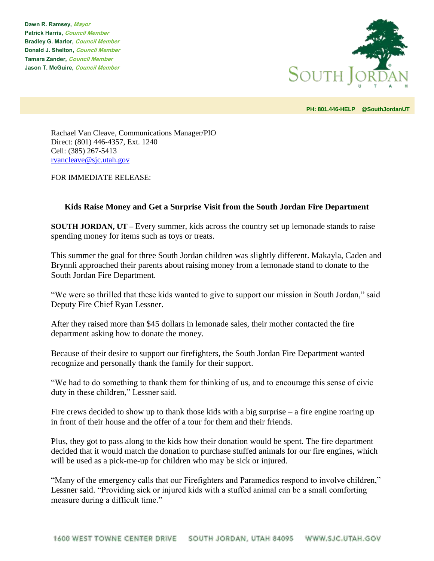**Dawn R. Ramsey, Mayor Patrick Harris, Council Member Bradley G. Marlor, Council Member Donald J. Shelton, Council Member Tamara Zander, Council Member Jason T. McGuire, Council Member**



**PH: 801.446-HELP @SouthJordanUT** 

Rachael Van Cleave, Communications Manager/PIO Direct: (801) 446-4357, Ext. 1240 Cell: (385) 267-5413 [rvancleave@sjc.utah.gov](mailto:rvancleave@sjc.utah.gov)

FOR IMMEDIATE RELEASE:

## **Kids Raise Money and Get a Surprise Visit from the South Jordan Fire Department**

**SOUTH JORDAN, UT –** Every summer, kids across the country set up lemonade stands to raise spending money for items such as toys or treats.

This summer the goal for three South Jordan children was slightly different. Makayla, Caden and Brynnli approached their parents about raising money from a lemonade stand to donate to the South Jordan Fire Department.

"We were so thrilled that these kids wanted to give to support our mission in South Jordan," said Deputy Fire Chief Ryan Lessner.

After they raised more than \$45 dollars in lemonade sales, their mother contacted the fire department asking how to donate the money.

Because of their desire to support our firefighters, the South Jordan Fire Department wanted recognize and personally thank the family for their support.

"We had to do something to thank them for thinking of us, and to encourage this sense of civic duty in these children," Lessner said.

Fire crews decided to show up to thank those kids with a big surprise – a fire engine roaring up in front of their house and the offer of a tour for them and their friends.

Plus, they got to pass along to the kids how their donation would be spent. The fire department decided that it would match the donation to purchase stuffed animals for our fire engines, which will be used as a pick-me-up for children who may be sick or injured.

"Many of the emergency calls that our Firefighters and Paramedics respond to involve children," Lessner said. "Providing sick or injured kids with a stuffed animal can be a small comforting measure during a difficult time."